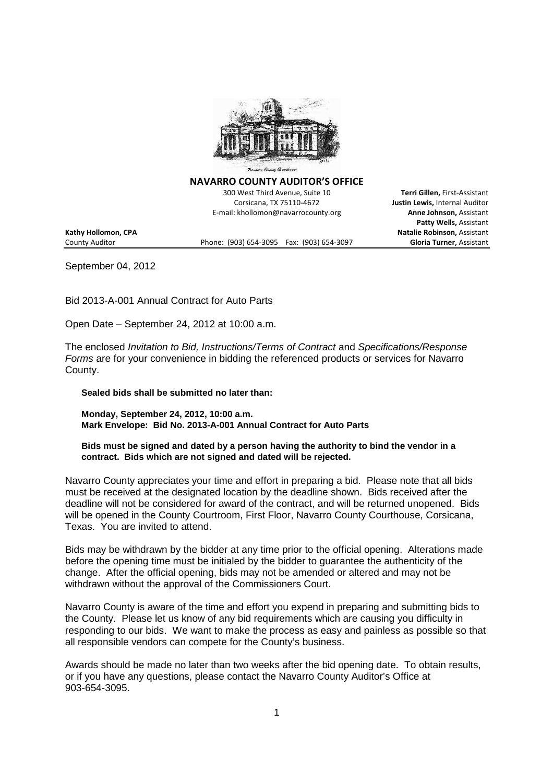

**NAVARRO COUNTY AUDITOR'S OFFICE**

300 West Third Avenue, Suite 10 **Terri Gillen,** First-Assistant Corsicana, TX 75110-4672 **Justin Lewis,** Internal Auditor E-mail: khollomon@navarrocounty.org **Anne Johnson,** Assistant

**Patty Wells,** Assistant

**Kathy Hollomon, CPA Natalie Robinson,** Assistant

County Auditor Phone: (903) 654-3095 Fax: (903) 654-3097 **Gloria Turner,** Assistant

September 04, 2012

Bid 2013-A-001 Annual Contract for Auto Parts

Open Date – September 24, 2012 at 10:00 a.m.

The enclosed *Invitation to Bid, Instructions/Terms of Contract* and *Specifications/Response Forms* are for your convenience in bidding the referenced products or services for Navarro County.

**Sealed bids shall be submitted no later than:**

**Monday, September 24, 2012, 10:00 a.m. Mark Envelope: Bid No. 2013-A-001 Annual Contract for Auto Parts**

**Bids must be signed and dated by a person having the authority to bind the vendor in a contract. Bids which are not signed and dated will be rejected.**

Navarro County appreciates your time and effort in preparing a bid. Please note that all bids must be received at the designated location by the deadline shown. Bids received after the deadline will not be considered for award of the contract, and will be returned unopened. Bids will be opened in the County Courtroom, First Floor, Navarro County Courthouse, Corsicana, Texas. You are invited to attend.

Bids may be withdrawn by the bidder at any time prior to the official opening. Alterations made before the opening time must be initialed by the bidder to guarantee the authenticity of the change. After the official opening, bids may not be amended or altered and may not be withdrawn without the approval of the Commissioners Court.

Navarro County is aware of the time and effort you expend in preparing and submitting bids to the County. Please let us know of any bid requirements which are causing you difficulty in responding to our bids. We want to make the process as easy and painless as possible so that all responsible vendors can compete for the County's business.

Awards should be made no later than two weeks after the bid opening date. To obtain results, or if you have any questions, please contact the Navarro County Auditor's Office at 903-654-3095.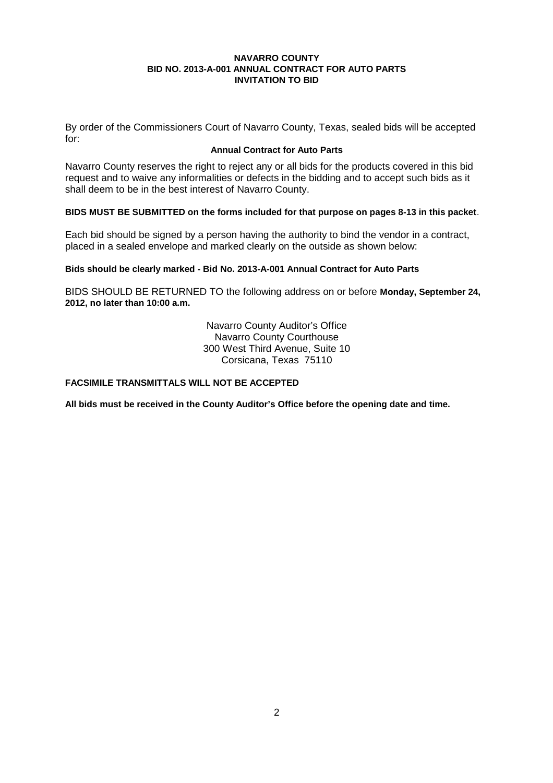By order of the Commissioners Court of Navarro County, Texas, sealed bids will be accepted for:

### **Annual Contract for Auto Parts**

Navarro County reserves the right to reject any or all bids for the products covered in this bid request and to waive any informalities or defects in the bidding and to accept such bids as it shall deem to be in the best interest of Navarro County.

#### **BIDS MUST BE SUBMITTED on the forms included for that purpose on pages 8-13 in this packet**.

Each bid should be signed by a person having the authority to bind the vendor in a contract, placed in a sealed envelope and marked clearly on the outside as shown below:

#### **Bids should be clearly marked - Bid No. 2013-A-001 Annual Contract for Auto Parts**

BIDS SHOULD BE RETURNED TO the following address on or before **Monday, September 24, 2012, no later than 10:00 a.m.**

> Navarro County Auditor's Office Navarro County Courthouse 300 West Third Avenue, Suite 10 Corsicana, Texas 75110

# **FACSIMILE TRANSMITTALS WILL NOT BE ACCEPTED**

**All bids must be received in the County Auditor's Office before the opening date and time.**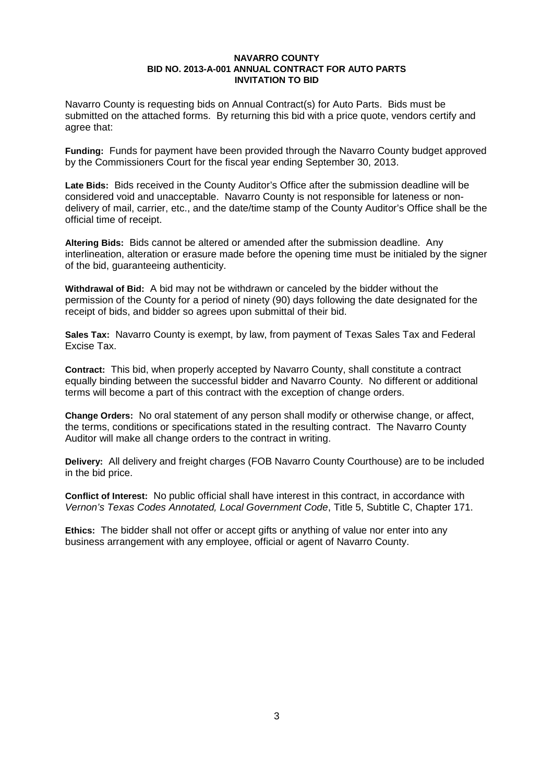Navarro County is requesting bids on Annual Contract(s) for Auto Parts. Bids must be submitted on the attached forms. By returning this bid with a price quote, vendors certify and agree that:

**Funding:** Funds for payment have been provided through the Navarro County budget approved by the Commissioners Court for the fiscal year ending September 30, 2013.

**Late Bids:** Bids received in the County Auditor's Office after the submission deadline will be considered void and unacceptable. Navarro County is not responsible for lateness or nondelivery of mail, carrier, etc., and the date/time stamp of the County Auditor's Office shall be the official time of receipt.

**Altering Bids:** Bids cannot be altered or amended after the submission deadline. Any interlineation, alteration or erasure made before the opening time must be initialed by the signer of the bid, guaranteeing authenticity.

**Withdrawal of Bid:** A bid may not be withdrawn or canceled by the bidder without the permission of the County for a period of ninety (90) days following the date designated for the receipt of bids, and bidder so agrees upon submittal of their bid.

**Sales Tax:** Navarro County is exempt, by law, from payment of Texas Sales Tax and Federal Excise Tax.

**Contract:** This bid, when properly accepted by Navarro County, shall constitute a contract equally binding between the successful bidder and Navarro County. No different or additional terms will become a part of this contract with the exception of change orders.

**Change Orders:** No oral statement of any person shall modify or otherwise change, or affect, the terms, conditions or specifications stated in the resulting contract. The Navarro County Auditor will make all change orders to the contract in writing.

**Delivery:** All delivery and freight charges (FOB Navarro County Courthouse) are to be included in the bid price.

**Conflict of Interest:** No public official shall have interest in this contract, in accordance with *Vernon's Texas Codes Annotated, Local Government Code*, Title 5, Subtitle C, Chapter 171.

**Ethics:** The bidder shall not offer or accept gifts or anything of value nor enter into any business arrangement with any employee, official or agent of Navarro County.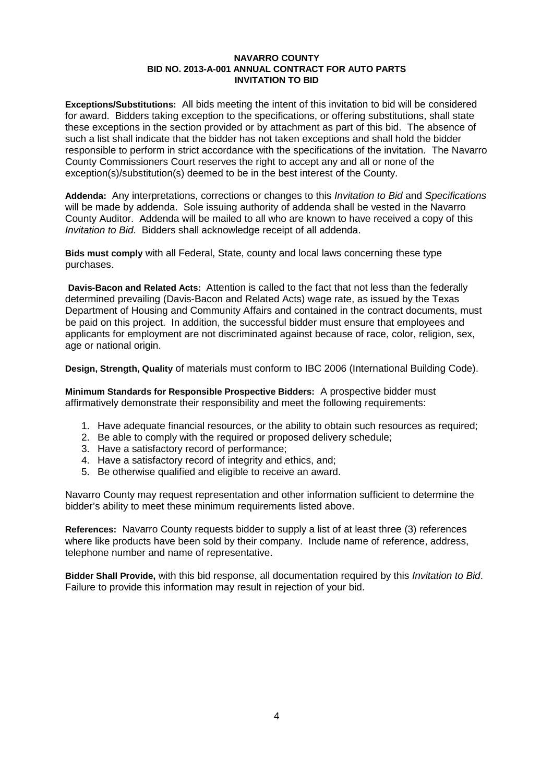**Exceptions/Substitutions:** All bids meeting the intent of this invitation to bid will be considered for award. Bidders taking exception to the specifications, or offering substitutions, shall state these exceptions in the section provided or by attachment as part of this bid. The absence of such a list shall indicate that the bidder has not taken exceptions and shall hold the bidder responsible to perform in strict accordance with the specifications of the invitation. The Navarro County Commissioners Court reserves the right to accept any and all or none of the exception(s)/substitution(s) deemed to be in the best interest of the County.

**Addenda:** Any interpretations, corrections or changes to this *Invitation to Bid* and *Specifications* will be made by addenda. Sole issuing authority of addenda shall be vested in the Navarro County Auditor. Addenda will be mailed to all who are known to have received a copy of this *Invitation to Bid*. Bidders shall acknowledge receipt of all addenda.

**Bids must comply** with all Federal, State, county and local laws concerning these type purchases.

**Davis-Bacon and Related Acts:** Attention is called to the fact that not less than the federally determined prevailing (Davis-Bacon and Related Acts) wage rate, as issued by the Texas Department of Housing and Community Affairs and contained in the contract documents, must be paid on this project. In addition, the successful bidder must ensure that employees and applicants for employment are not discriminated against because of race, color, religion, sex, age or national origin.

**Design, Strength, Quality** of materials must conform to IBC 2006 (International Building Code).

**Minimum Standards for Responsible Prospective Bidders:** A prospective bidder must affirmatively demonstrate their responsibility and meet the following requirements:

- 1. Have adequate financial resources, or the ability to obtain such resources as required;
- 2. Be able to comply with the required or proposed delivery schedule;
- 3. Have a satisfactory record of performance;
- 4. Have a satisfactory record of integrity and ethics, and;
- 5. Be otherwise qualified and eligible to receive an award.

Navarro County may request representation and other information sufficient to determine the bidder's ability to meet these minimum requirements listed above.

**References:** Navarro County requests bidder to supply a list of at least three (3) references where like products have been sold by their company. Include name of reference, address, telephone number and name of representative.

**Bidder Shall Provide,** with this bid response, all documentation required by this *Invitation to Bid*. Failure to provide this information may result in rejection of your bid.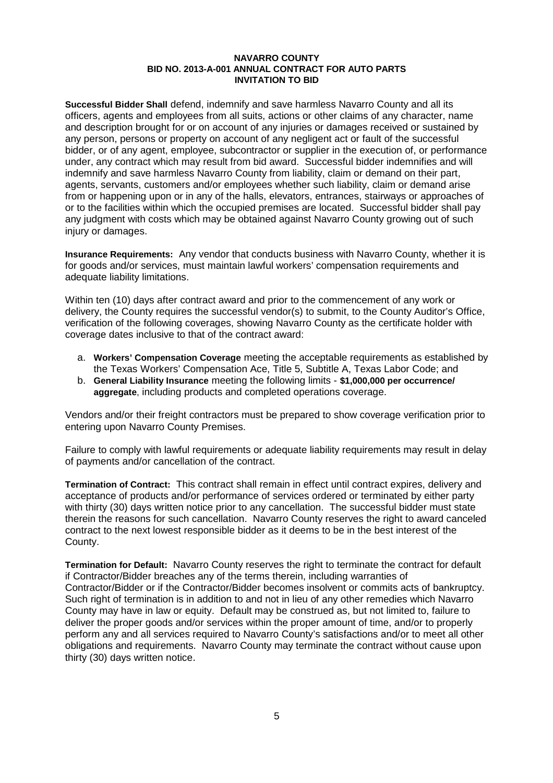**Successful Bidder Shall** defend, indemnify and save harmless Navarro County and all its officers, agents and employees from all suits, actions or other claims of any character, name and description brought for or on account of any injuries or damages received or sustained by any person, persons or property on account of any negligent act or fault of the successful bidder, or of any agent, employee, subcontractor or supplier in the execution of, or performance under, any contract which may result from bid award. Successful bidder indemnifies and will indemnify and save harmless Navarro County from liability, claim or demand on their part, agents, servants, customers and/or employees whether such liability, claim or demand arise from or happening upon or in any of the halls, elevators, entrances, stairways or approaches of or to the facilities within which the occupied premises are located. Successful bidder shall pay any judgment with costs which may be obtained against Navarro County growing out of such injury or damages.

**Insurance Requirements:** Any vendor that conducts business with Navarro County, whether it is for goods and/or services, must maintain lawful workers' compensation requirements and adequate liability limitations.

Within ten (10) days after contract award and prior to the commencement of any work or delivery, the County requires the successful vendor(s) to submit, to the County Auditor's Office, verification of the following coverages, showing Navarro County as the certificate holder with coverage dates inclusive to that of the contract award:

- a. **Workers' Compensation Coverage** meeting the acceptable requirements as established by the Texas Workers' Compensation Ace, Title 5, Subtitle A, Texas Labor Code; and
- b. **General Liability Insurance** meeting the following limits **\$1,000,000 per occurrence/ aggregate**, including products and completed operations coverage.

Vendors and/or their freight contractors must be prepared to show coverage verification prior to entering upon Navarro County Premises.

Failure to comply with lawful requirements or adequate liability requirements may result in delay of payments and/or cancellation of the contract.

**Termination of Contract:** This contract shall remain in effect until contract expires, delivery and acceptance of products and/or performance of services ordered or terminated by either party with thirty (30) days written notice prior to any cancellation. The successful bidder must state therein the reasons for such cancellation. Navarro County reserves the right to award canceled contract to the next lowest responsible bidder as it deems to be in the best interest of the County.

**Termination for Default:** Navarro County reserves the right to terminate the contract for default if Contractor/Bidder breaches any of the terms therein, including warranties of Contractor/Bidder or if the Contractor/Bidder becomes insolvent or commits acts of bankruptcy. Such right of termination is in addition to and not in lieu of any other remedies which Navarro County may have in law or equity. Default may be construed as, but not limited to, failure to deliver the proper goods and/or services within the proper amount of time, and/or to properly perform any and all services required to Navarro County's satisfactions and/or to meet all other obligations and requirements. Navarro County may terminate the contract without cause upon thirty (30) days written notice.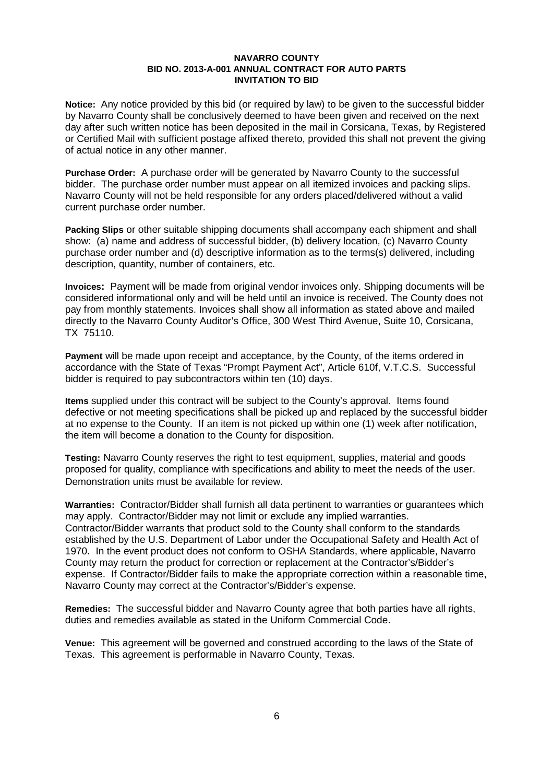**Notice:** Any notice provided by this bid (or required by law) to be given to the successful bidder by Navarro County shall be conclusively deemed to have been given and received on the next day after such written notice has been deposited in the mail in Corsicana, Texas, by Registered or Certified Mail with sufficient postage affixed thereto, provided this shall not prevent the giving of actual notice in any other manner.

**Purchase Order:** A purchase order will be generated by Navarro County to the successful bidder. The purchase order number must appear on all itemized invoices and packing slips. Navarro County will not be held responsible for any orders placed/delivered without a valid current purchase order number.

**Packing Slips** or other suitable shipping documents shall accompany each shipment and shall show: (a) name and address of successful bidder, (b) delivery location, (c) Navarro County purchase order number and (d) descriptive information as to the terms(s) delivered, including description, quantity, number of containers, etc.

**Invoices:** Payment will be made from original vendor invoices only. Shipping documents will be considered informational only and will be held until an invoice is received. The County does not pay from monthly statements. Invoices shall show all information as stated above and mailed directly to the Navarro County Auditor's Office, 300 West Third Avenue, Suite 10, Corsicana, TX 75110.

**Payment** will be made upon receipt and acceptance, by the County, of the items ordered in accordance with the State of Texas "Prompt Payment Act", Article 610f, V.T.C.S. Successful bidder is required to pay subcontractors within ten (10) days.

**Items** supplied under this contract will be subject to the County's approval. Items found defective or not meeting specifications shall be picked up and replaced by the successful bidder at no expense to the County. If an item is not picked up within one (1) week after notification, the item will become a donation to the County for disposition.

**Testing:** Navarro County reserves the right to test equipment, supplies, material and goods proposed for quality, compliance with specifications and ability to meet the needs of the user. Demonstration units must be available for review.

**Warranties:** Contractor/Bidder shall furnish all data pertinent to warranties or guarantees which may apply. Contractor/Bidder may not limit or exclude any implied warranties. Contractor/Bidder warrants that product sold to the County shall conform to the standards established by the U.S. Department of Labor under the Occupational Safety and Health Act of 1970. In the event product does not conform to OSHA Standards, where applicable, Navarro County may return the product for correction or replacement at the Contractor's/Bidder's expense. If Contractor/Bidder fails to make the appropriate correction within a reasonable time, Navarro County may correct at the Contractor's/Bidder's expense.

**Remedies:** The successful bidder and Navarro County agree that both parties have all rights, duties and remedies available as stated in the Uniform Commercial Code.

**Venue:** This agreement will be governed and construed according to the laws of the State of Texas. This agreement is performable in Navarro County, Texas.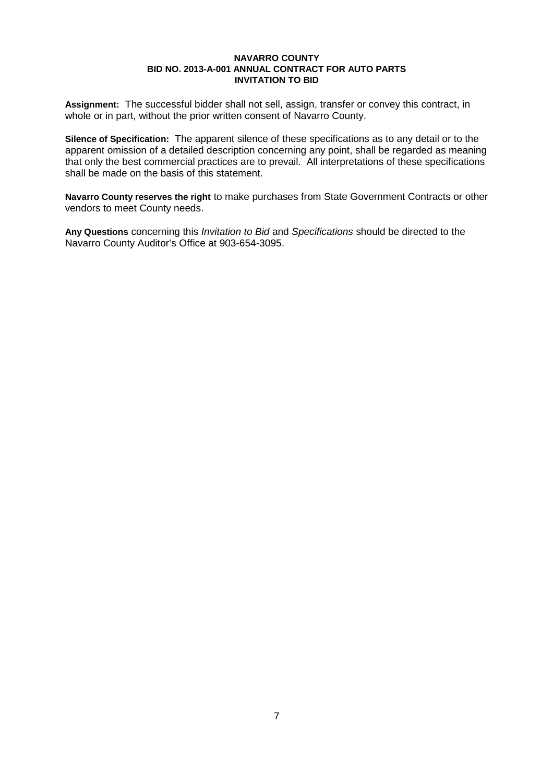**Assignment:** The successful bidder shall not sell, assign, transfer or convey this contract, in whole or in part, without the prior written consent of Navarro County.

**Silence of Specification:** The apparent silence of these specifications as to any detail or to the apparent omission of a detailed description concerning any point, shall be regarded as meaning that only the best commercial practices are to prevail. All interpretations of these specifications shall be made on the basis of this statement.

**Navarro County reserves the right** to make purchases from State Government Contracts or other vendors to meet County needs.

**Any Questions** concerning this *Invitation to Bid* and *Specifications* should be directed to the Navarro County Auditor's Office at 903-654-3095.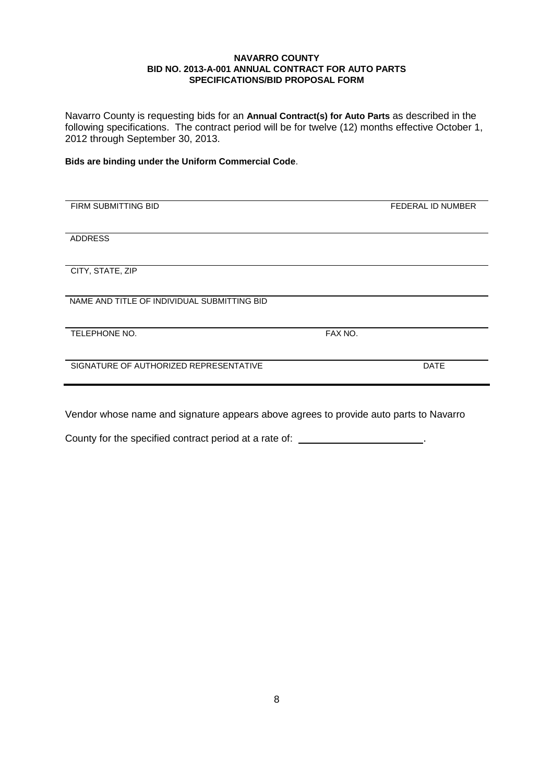Navarro County is requesting bids for an **Annual Contract(s) for Auto Parts** as described in the following specifications. The contract period will be for twelve (12) months effective October 1, 2012 through September 30, 2013.

**Bids are binding under the Uniform Commercial Code**.

| FIRM SUBMITTING BID                         |         | FEDERAL ID NUMBER |
|---------------------------------------------|---------|-------------------|
|                                             |         |                   |
| <b>ADDRESS</b>                              |         |                   |
|                                             |         |                   |
| CITY, STATE, ZIP                            |         |                   |
| NAME AND TITLE OF INDIVIDUAL SUBMITTING BID |         |                   |
|                                             |         |                   |
| TELEPHONE NO.                               | FAX NO. |                   |
|                                             |         |                   |
| SIGNATURE OF AUTHORIZED REPRESENTATIVE      |         | <b>DATE</b>       |
|                                             |         |                   |
|                                             |         |                   |
|                                             |         |                   |

Vendor whose name and signature appears above agrees to provide auto parts to Navarro

County for the specified contract period at a rate of: \_\_\_\_\_\_\_\_\_\_\_\_\_\_\_\_\_\_\_\_\_\_\_.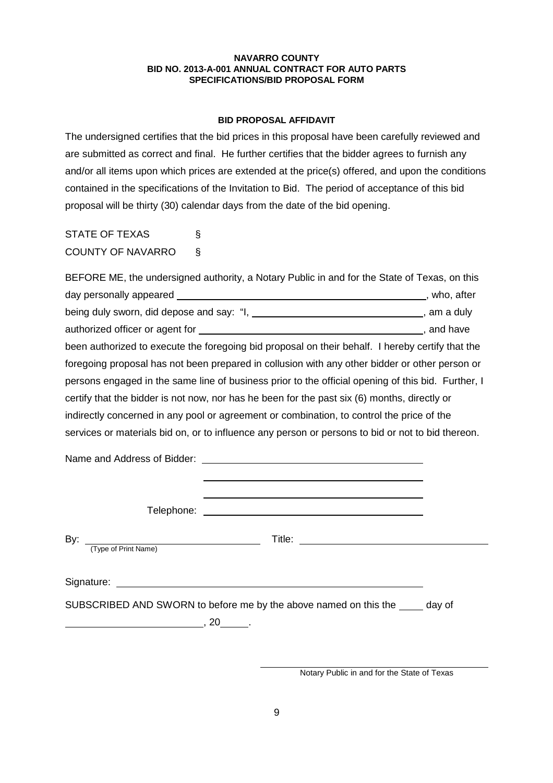#### **BID PROPOSAL AFFIDAVIT**

The undersigned certifies that the bid prices in this proposal have been carefully reviewed and are submitted as correct and final. He further certifies that the bidder agrees to furnish any and/or all items upon which prices are extended at the price(s) offered, and upon the conditions contained in the specifications of the Invitation to Bid. The period of acceptance of this bid proposal will be thirty (30) calendar days from the date of the bid opening.

STATE OF TEXAS § COUNTY OF NAVARRO §

|                         | BEFORE ME, the undersigned authority, a Notary Public in and for the State of Texas, on this                           |  |
|-------------------------|------------------------------------------------------------------------------------------------------------------------|--|
|                         |                                                                                                                        |  |
|                         | being duly sworn, did depose and say: "I, ________________________________, am a duly                                  |  |
|                         |                                                                                                                        |  |
|                         | been authorized to execute the foregoing bid proposal on their behalf. I hereby certify that the                       |  |
|                         | foregoing proposal has not been prepared in collusion with any other bidder or other person or                         |  |
|                         | persons engaged in the same line of business prior to the official opening of this bid. Further, I                     |  |
|                         | certify that the bidder is not now, nor has he been for the past six (6) months, directly or                           |  |
|                         | indirectly concerned in any pool or agreement or combination, to control the price of the                              |  |
|                         | services or materials bid on, or to influence any person or persons to bid or not to bid thereon.                      |  |
|                         |                                                                                                                        |  |
|                         |                                                                                                                        |  |
|                         |                                                                                                                        |  |
| By: Type of Print Name) | Title: <u>Alexander Alexander Alexander Alexander Alexander Alexander Alexander Alexander Alexander Alexander Alex</u> |  |
|                         |                                                                                                                        |  |
|                         | SUBSCRIBED AND SWORN to before me by the above named on this the _____ day of                                          |  |

Notary Public in and for the State of Texas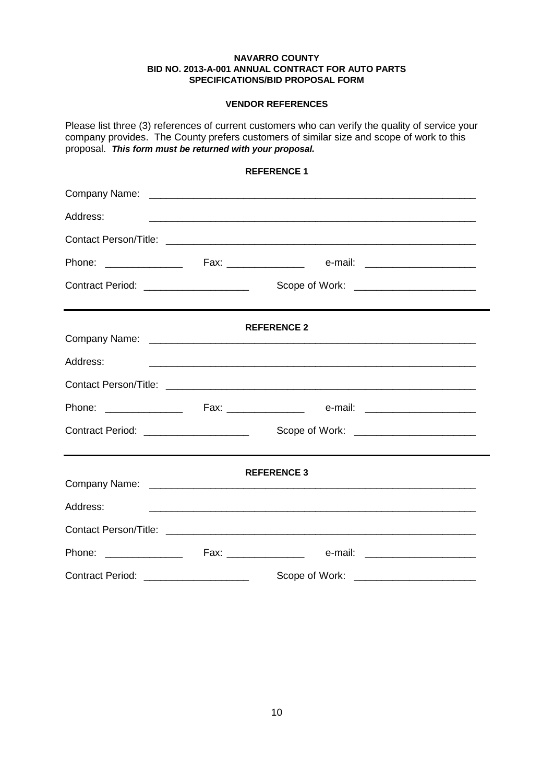#### **VENDOR REFERENCES**

Please list three (3) references of current customers who can verify the quality of service your company provides. The County prefers customers of similar size and scope of work to this proposal. *This form must be returned with your proposal.*

## **REFERENCE 1**

| Address:                                |                                                                                                                       |  |
|-----------------------------------------|-----------------------------------------------------------------------------------------------------------------------|--|
|                                         |                                                                                                                       |  |
|                                         |                                                                                                                       |  |
| Contract Period: _____________________  | Scope of Work: ________________________                                                                               |  |
|                                         | ,我们也不会不会不会不会不会不会不会不会不会不会不会不会不会不会不会不会。""我们的是我们的 <sub>是</sub> ,我们的是我们的是我们的,我们也不会不会不会不会不会不会不会不会<br><b>REFERENCE 2</b>    |  |
| Address:                                | <u> 1999 - Jan James James James James James James James James James James James James James James James James Ja</u> |  |
|                                         |                                                                                                                       |  |
|                                         |                                                                                                                       |  |
| Contract Period: ____________________   | Scope of Work: ________________________                                                                               |  |
|                                         | <b>REFERENCE 3</b>                                                                                                    |  |
| Address:                                |                                                                                                                       |  |
|                                         | <u> 1999 - Jan James James James James James James James James James James James James James James James James</u>    |  |
|                                         |                                                                                                                       |  |
|                                         |                                                                                                                       |  |
| Contract Period: ______________________ | Scope of Work:                                                                                                        |  |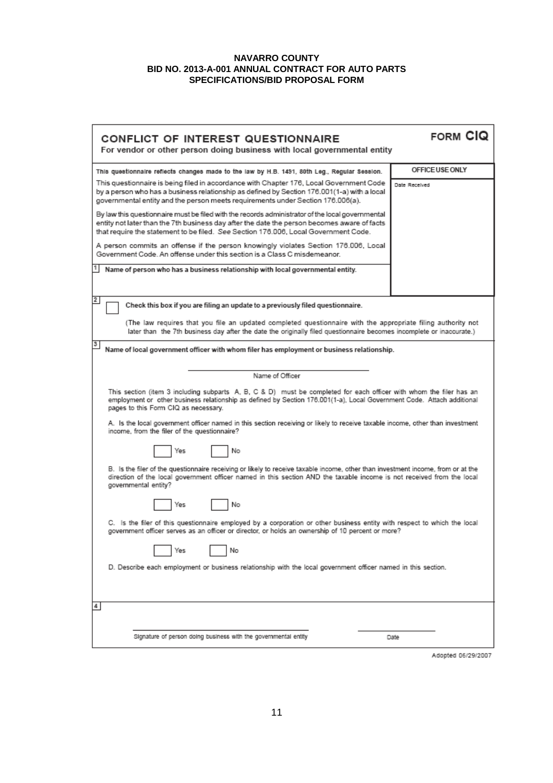| CONFLICT OF INTEREST QUESTIONNAIRE<br>For vendor or other person doing business with local governmental entity                                                                                                                                                                         | FORM CIO        |  |  |
|----------------------------------------------------------------------------------------------------------------------------------------------------------------------------------------------------------------------------------------------------------------------------------------|-----------------|--|--|
| This questionnaire reflects changes made to the law by H.B. 1491, 80th Leg., Regular Session.                                                                                                                                                                                          | OFFICE USE ONLY |  |  |
| This questionnaire is being filed in accordance with Chapter 176, Local Government Code<br>by a person who has a business relationship as defined by Section 176.001(1-a) with a local<br>governmental entity and the person meets requirements under Section 176.006(a).              | Date Received   |  |  |
| By law this questionnaire must be filed with the records administrator of the local governmental<br>entity not later than the 7th business day after the date the person becomes aware of facts<br>that require the statement to be filed. See Section 176.006, Local Government Code. |                 |  |  |
| A person commits an offense if the person knowingly violates Section 176.006, Local<br>Government Code. An offense under this section is a Class C misdemeanor.                                                                                                                        |                 |  |  |
| Name of person who has a business relationship with local governmental entity.                                                                                                                                                                                                         |                 |  |  |
| 2<br>Check this box if you are filing an update to a previously filed questionnaire.                                                                                                                                                                                                   |                 |  |  |
| (The law requires that you file an updated completed questionnaire with the appropriate filing authority not<br>later than the 7th business day after the date the originally filed questionnaire becomes incomplete or inaccurate.)                                                   |                 |  |  |
| Name of local government officer with whom filer has employment or business relationship.                                                                                                                                                                                              |                 |  |  |
| Name of Officer                                                                                                                                                                                                                                                                        |                 |  |  |
| This section (item 3 including subparts A, B, C & D) must be completed for each officer with whom the filer has an<br>employment or other business relationship as defined by Section 176.001(1-a), Local Government Code. Attach additional<br>pages to this Form CIQ as necessary.   |                 |  |  |
| A. Is the local government officer named in this section receiving or likely to receive taxable income, other than investment<br>income, from the filer of the questionnaire?                                                                                                          |                 |  |  |
| No<br>Yes                                                                                                                                                                                                                                                                              |                 |  |  |
| B. Is the filer of the questionnaire receiving or likely to receive taxable income, other than investment income, from or at the<br>direction of the local government officer named in this section AND the taxable income is not received from the local<br>governmental entity?      |                 |  |  |
| No<br>Yes                                                                                                                                                                                                                                                                              |                 |  |  |
| C. Is the filer of this questionnaire employed by a corporation or other business entity with respect to which the local<br>government officer serves as an officer or director, or holds an ownership of 10 percent or more?                                                          |                 |  |  |
| No<br>Yes                                                                                                                                                                                                                                                                              |                 |  |  |
| D. Describe each employment or business relationship with the local government officer named in this section.                                                                                                                                                                          |                 |  |  |
| 4                                                                                                                                                                                                                                                                                      |                 |  |  |
| Signature of person doing business with the governmental entity                                                                                                                                                                                                                        | Date            |  |  |

Adopted 06/29/2007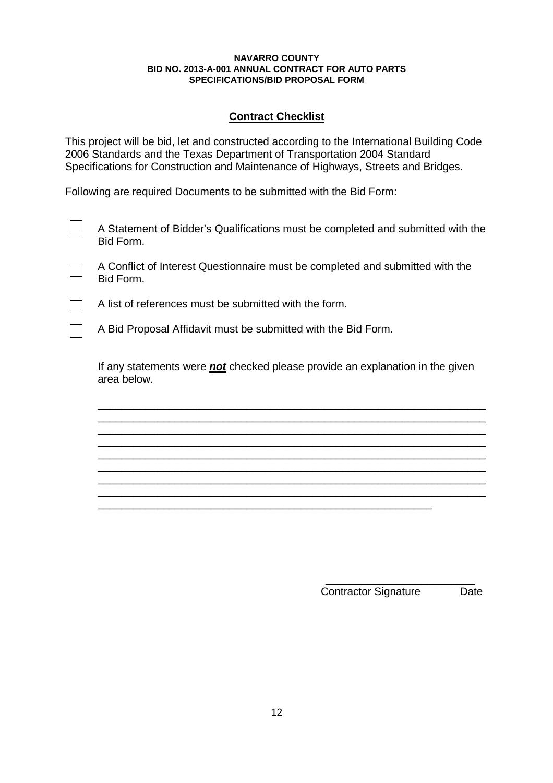# **Contract Checklist**

This project will be bid, let and constructed according to the International Building Code 2006 Standards and the Texas Department of Transportation 2004 Standard Specifications for Construction and Maintenance of Highways, Streets and Bridges.

Following are required Documents to be submitted with the Bid Form:

A Statement of Bidder's Qualifications must be completed and submitted with the Bid Form.

A Conflict of Interest Questionnaire must be completed and submitted with the Bid Form.



A list of references must be submitted with the form.

A Bid Proposal Affidavit must be submitted with the Bid Form.

If any statements were *not* checked please provide an explanation in the given area below.

\_\_\_\_\_\_\_\_\_\_\_\_\_\_\_\_\_\_\_\_\_\_\_\_\_\_\_\_\_\_\_\_\_\_\_\_\_\_\_\_\_\_\_\_\_\_\_\_\_\_\_\_\_\_\_\_\_\_\_\_\_\_\_\_\_ \_\_\_\_\_\_\_\_\_\_\_\_\_\_\_\_\_\_\_\_\_\_\_\_\_\_\_\_\_\_\_\_\_\_\_\_\_\_\_\_\_\_\_\_\_\_\_\_\_\_\_\_\_\_\_\_\_\_\_\_\_\_\_\_\_ \_\_\_\_\_\_\_\_\_\_\_\_\_\_\_\_\_\_\_\_\_\_\_\_\_\_\_\_\_\_\_\_\_\_\_\_\_\_\_\_\_\_\_\_\_\_\_\_\_\_\_\_\_\_\_\_\_\_\_\_\_\_\_\_\_ \_\_\_\_\_\_\_\_\_\_\_\_\_\_\_\_\_\_\_\_\_\_\_\_\_\_\_\_\_\_\_\_\_\_\_\_\_\_\_\_\_\_\_\_\_\_\_\_\_\_\_\_\_\_\_\_\_\_\_\_\_\_\_\_\_ \_\_\_\_\_\_\_\_\_\_\_\_\_\_\_\_\_\_\_\_\_\_\_\_\_\_\_\_\_\_\_\_\_\_\_\_\_\_\_\_\_\_\_\_\_\_\_\_\_\_\_\_\_\_\_\_\_\_\_\_\_\_\_\_\_ \_\_\_\_\_\_\_\_\_\_\_\_\_\_\_\_\_\_\_\_\_\_\_\_\_\_\_\_\_\_\_\_\_\_\_\_\_\_\_\_\_\_\_\_\_\_\_\_\_\_\_\_\_\_\_\_\_\_\_\_\_\_\_\_\_ \_\_\_\_\_\_\_\_\_\_\_\_\_\_\_\_\_\_\_\_\_\_\_\_\_\_\_\_\_\_\_\_\_\_\_\_\_\_\_\_\_\_\_\_\_\_\_\_\_\_\_\_\_\_\_\_\_\_\_\_\_\_\_\_\_ \_\_\_\_\_\_\_\_\_\_\_\_\_\_\_\_\_\_\_\_\_\_\_\_\_\_\_\_\_\_\_\_\_\_\_\_\_\_\_\_\_\_\_\_\_\_\_\_\_\_\_\_\_\_\_\_\_\_\_\_\_\_\_\_\_

\_\_\_\_\_\_\_\_\_\_\_\_\_\_\_\_\_\_\_\_\_\_\_\_\_\_\_\_\_\_\_\_\_\_\_\_\_\_\_\_\_\_\_\_\_\_\_\_\_\_\_\_\_\_\_\_

\_\_\_\_\_\_\_\_\_\_\_\_\_\_\_\_\_\_\_\_\_\_\_\_\_ Contractor Signature Date